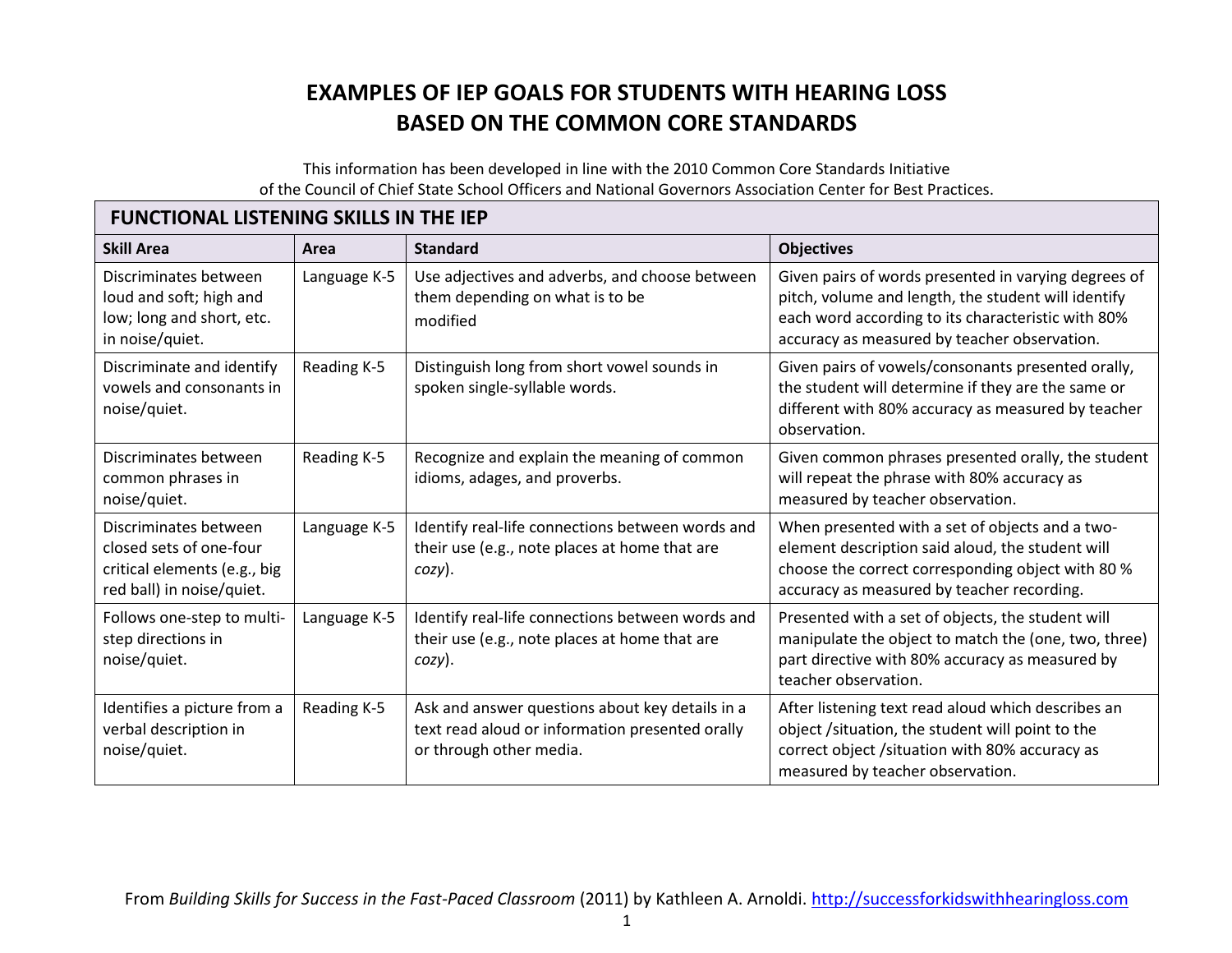## **EXAMPLES OF IEP GOALS FOR STUDENTS WITH HEARING LOSS BASED ON THE COMMON CORE STANDARDS**

This information has been developed in line with the 2010 Common Core Standards Initiative of the Council of Chief State School Officers and National Governors Association Center for Best Practices.

## **FUNCTIONAL LISTENING SKILLS IN THE IEP**

| <b>Skill Area</b>                                                                                             | Area         | <b>Standard</b>                                                                                                               | <b>Objectives</b>                                                                                                                                                                                                 |  |  |  |  |
|---------------------------------------------------------------------------------------------------------------|--------------|-------------------------------------------------------------------------------------------------------------------------------|-------------------------------------------------------------------------------------------------------------------------------------------------------------------------------------------------------------------|--|--|--|--|
| Discriminates between<br>loud and soft; high and<br>low; long and short, etc.<br>in noise/quiet.              | Language K-5 | Use adjectives and adverbs, and choose between<br>them depending on what is to be<br>modified                                 | Given pairs of words presented in varying degrees of<br>pitch, volume and length, the student will identify<br>each word according to its characteristic with 80%<br>accuracy as measured by teacher observation. |  |  |  |  |
| Discriminate and identify<br>vowels and consonants in<br>noise/quiet.                                         | Reading K-5  | Distinguish long from short vowel sounds in<br>spoken single-syllable words.                                                  | Given pairs of vowels/consonants presented orally,<br>the student will determine if they are the same or<br>different with 80% accuracy as measured by teacher<br>observation.                                    |  |  |  |  |
| Discriminates between<br>common phrases in<br>noise/quiet.                                                    | Reading K-5  | Recognize and explain the meaning of common<br>idioms, adages, and proverbs.                                                  | Given common phrases presented orally, the student<br>will repeat the phrase with 80% accuracy as<br>measured by teacher observation.                                                                             |  |  |  |  |
| Discriminates between<br>closed sets of one-four<br>critical elements (e.g., big<br>red ball) in noise/quiet. | Language K-5 | Identify real-life connections between words and<br>their use (e.g., note places at home that are<br>$cozy$ ).                | When presented with a set of objects and a two-<br>element description said aloud, the student will<br>choose the correct corresponding object with 80 %<br>accuracy as measured by teacher recording.            |  |  |  |  |
| Follows one-step to multi-<br>step directions in<br>noise/quiet.                                              | Language K-5 | Identify real-life connections between words and<br>their use (e.g., note places at home that are<br>$cozy$ ).                | Presented with a set of objects, the student will<br>manipulate the object to match the (one, two, three)<br>part directive with 80% accuracy as measured by<br>teacher observation.                              |  |  |  |  |
| Identifies a picture from a<br>verbal description in<br>noise/quiet.                                          | Reading K-5  | Ask and answer questions about key details in a<br>text read aloud or information presented orally<br>or through other media. | After listening text read aloud which describes an<br>object /situation, the student will point to the<br>correct object / situation with 80% accuracy as<br>measured by teacher observation.                     |  |  |  |  |

From *Building Skills for Success in the Fast-Paced Classroom* (2011) by Kathleen A. Arnoldi. http://successforkidswithhearingloss.com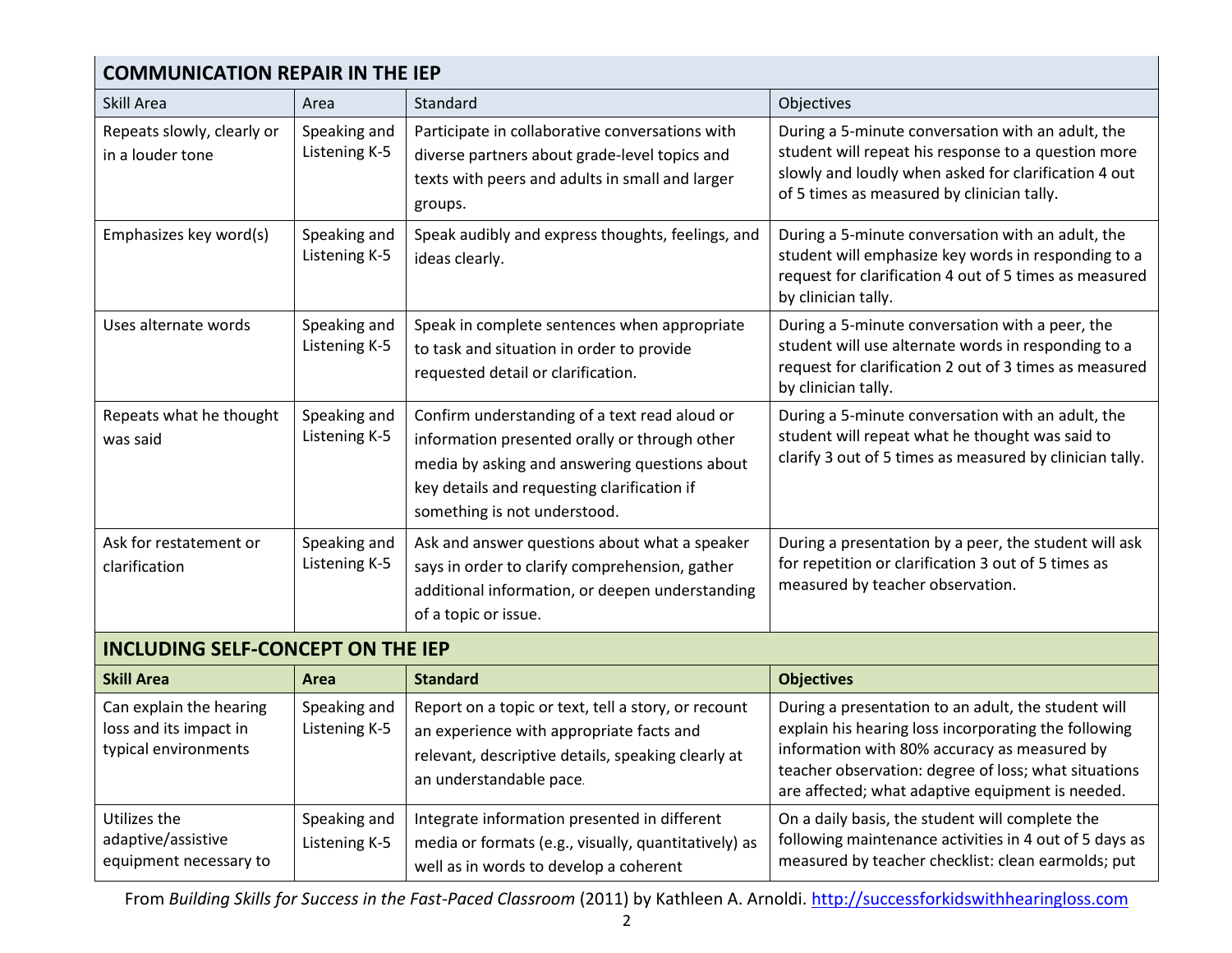| <b>COMMUNICATION REPAIR IN THE IEP</b>                                    |                               |                                                                                                                                                                                                                                |                                                                                                                                                                                                                                                                         |  |  |  |
|---------------------------------------------------------------------------|-------------------------------|--------------------------------------------------------------------------------------------------------------------------------------------------------------------------------------------------------------------------------|-------------------------------------------------------------------------------------------------------------------------------------------------------------------------------------------------------------------------------------------------------------------------|--|--|--|
| Skill Area                                                                | Area                          | Standard                                                                                                                                                                                                                       | Objectives                                                                                                                                                                                                                                                              |  |  |  |
| Repeats slowly, clearly or<br>in a louder tone                            | Speaking and<br>Listening K-5 | Participate in collaborative conversations with<br>diverse partners about grade-level topics and<br>texts with peers and adults in small and larger<br>groups.                                                                 | During a 5-minute conversation with an adult, the<br>student will repeat his response to a question more<br>slowly and loudly when asked for clarification 4 out<br>of 5 times as measured by clinician tally.                                                          |  |  |  |
| Emphasizes key word(s)                                                    | Speaking and<br>Listening K-5 | Speak audibly and express thoughts, feelings, and<br>ideas clearly.                                                                                                                                                            | During a 5-minute conversation with an adult, the<br>student will emphasize key words in responding to a<br>request for clarification 4 out of 5 times as measured<br>by clinician tally.                                                                               |  |  |  |
| Uses alternate words                                                      | Speaking and<br>Listening K-5 | Speak in complete sentences when appropriate<br>to task and situation in order to provide<br>requested detail or clarification.                                                                                                | During a 5-minute conversation with a peer, the<br>student will use alternate words in responding to a<br>request for clarification 2 out of 3 times as measured<br>by clinician tally.                                                                                 |  |  |  |
| Repeats what he thought<br>was said                                       | Speaking and<br>Listening K-5 | Confirm understanding of a text read aloud or<br>information presented orally or through other<br>media by asking and answering questions about<br>key details and requesting clarification if<br>something is not understood. | During a 5-minute conversation with an adult, the<br>student will repeat what he thought was said to<br>clarify 3 out of 5 times as measured by clinician tally.                                                                                                        |  |  |  |
| Ask for restatement or<br>clarification                                   | Speaking and<br>Listening K-5 | Ask and answer questions about what a speaker<br>says in order to clarify comprehension, gather<br>additional information, or deepen understanding<br>of a topic or issue.                                                     | During a presentation by a peer, the student will ask<br>for repetition or clarification 3 out of 5 times as<br>measured by teacher observation.                                                                                                                        |  |  |  |
| <b>INCLUDING SELF-CONCEPT ON THE IEP</b>                                  |                               |                                                                                                                                                                                                                                |                                                                                                                                                                                                                                                                         |  |  |  |
| <b>Skill Area</b>                                                         | Area                          | <b>Standard</b>                                                                                                                                                                                                                | <b>Objectives</b>                                                                                                                                                                                                                                                       |  |  |  |
| Can explain the hearing<br>loss and its impact in<br>typical environments | Speaking and<br>Listening K-5 | Report on a topic or text, tell a story, or recount<br>an experience with appropriate facts and<br>relevant, descriptive details, speaking clearly at<br>an understandable pace.                                               | During a presentation to an adult, the student will<br>explain his hearing loss incorporating the following<br>information with 80% accuracy as measured by<br>teacher observation: degree of loss; what situations<br>are affected; what adaptive equipment is needed. |  |  |  |
| Utilizes the<br>adaptive/assistive<br>equipment necessary to              | Speaking and<br>Listening K-5 | Integrate information presented in different<br>media or formats (e.g., visually, quantitatively) as<br>well as in words to develop a coherent                                                                                 | On a daily basis, the student will complete the<br>following maintenance activities in 4 out of 5 days as<br>measured by teacher checklist: clean earmolds; put                                                                                                         |  |  |  |

From *Building Skills for Success in the Fast-Paced Classroom* (2011) by Kathleen A. Arnoldi. http://successforkidswithhearingloss.com